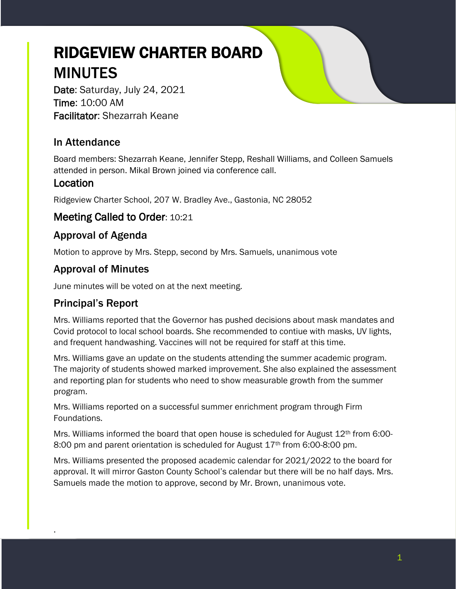# RIDGEVIEW CHARTER BOARD MINUTES

Date: Saturday, July 24, 2021 Time: 10:00 AM Facilitator: Shezarrah Keane

# In Attendance

Board members: Shezarrah Keane, Jennifer Stepp, Reshall Williams, and Colleen Samuels attended in person. Mikal Brown joined via conference call.

## Location

Ridgeview Charter School, 207 W. Bradley Ave., Gastonia, NC 28052

## Meeting Called to Order: 10:21

# Approval of Agenda

Motion to approve by Mrs. Stepp, second by Mrs. Samuels, unanimous vote

# Approval of Minutes

June minutes will be voted on at the next meeting.

## Principal's Report

.

Mrs. Williams reported that the Governor has pushed decisions about mask mandates and Covid protocol to local school boards. She recommended to contiue with masks, UV lights, and frequent handwashing. Vaccines will not be required for staff at this time.

Mrs. Williams gave an update on the students attending the summer academic program. The majority of students showed marked improvement. She also explained the assessment and reporting plan for students who need to show measurable growth from the summer program.

Mrs. Williams reported on a successful summer enrichment program through Firm Foundations.

Mrs. Williams informed the board that open house is scheduled for August  $12<sup>th</sup>$  from 6:00-8:00 pm and parent orientation is scheduled for August 17<sup>th</sup> from 6:00-8:00 pm.

Mrs. Williams presented the proposed academic calendar for 2021/2022 to the board for approval. It will mirror Gaston County School's calendar but there will be no half days. Mrs. Samuels made the motion to approve, second by Mr. Brown, unanimous vote.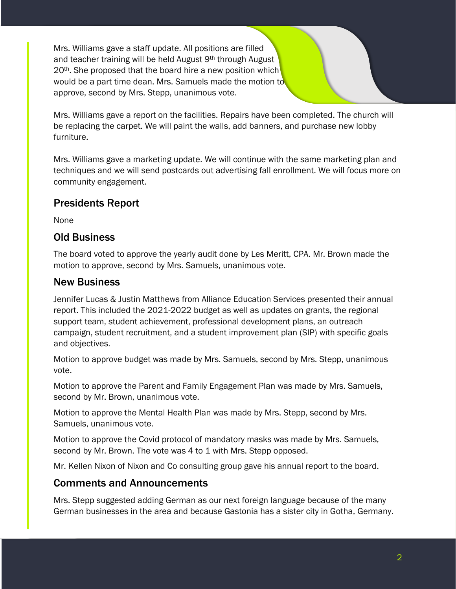Mrs. Williams gave a staff update. All positions are filled and teacher training will be held August 9th through August 20<sup>th</sup>. She proposed that the board hire a new position which would be a part time dean. Mrs. Samuels made the motion to approve, second by Mrs. Stepp, unanimous vote.

Mrs. Williams gave a report on the facilities. Repairs have been completed. The church will be replacing the carpet. We will paint the walls, add banners, and purchase new lobby furniture.

Mrs. Williams gave a marketing update. We will continue with the same marketing plan and techniques and we will send postcards out advertising fall enrollment. We will focus more on community engagement.

# Presidents Report

None

## Old Business

The board voted to approve the yearly audit done by Les Meritt, CPA. Mr. Brown made the motion to approve, second by Mrs. Samuels, unanimous vote.

## New Business

Jennifer Lucas & Justin Matthews from Alliance Education Services presented their annual report. This included the 2021-2022 budget as well as updates on grants, the regional support team, student achievement, professional development plans, an outreach campaign, student recruitment, and a student improvement plan (SIP) with specific goals and objectives.

Motion to approve budget was made by Mrs. Samuels, second by Mrs. Stepp, unanimous vote.

Motion to approve the Parent and Family Engagement Plan was made by Mrs. Samuels, second by Mr. Brown, unanimous vote.

Motion to approve the Mental Health Plan was made by Mrs. Stepp, second by Mrs. Samuels, unanimous vote.

Motion to approve the Covid protocol of mandatory masks was made by Mrs. Samuels, second by Mr. Brown. The vote was 4 to 1 with Mrs. Stepp opposed.

Mr. Kellen Nixon of Nixon and Co consulting group gave his annual report to the board.

## Comments and Announcements

Mrs. Stepp suggested adding German as our next foreign language because of the many German businesses in the area and because Gastonia has a sister city in Gotha, Germany.